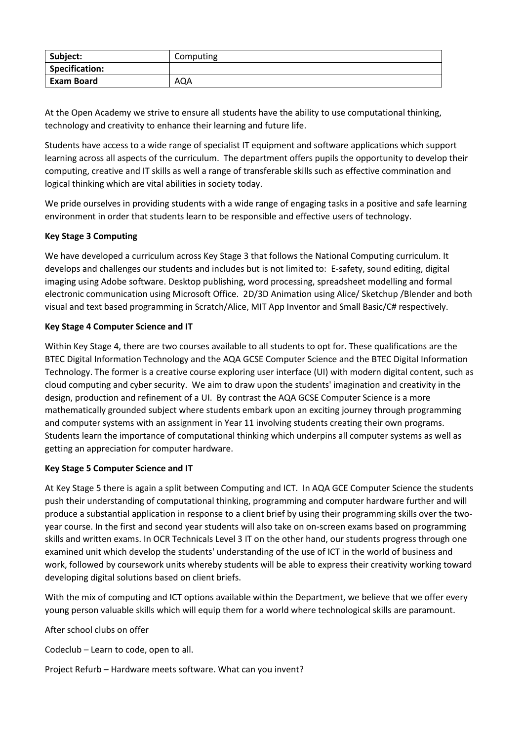| Subject:              | Computing |
|-----------------------|-----------|
| <b>Specification:</b> |           |
| <b>Exam Board</b>     | AQA       |

At the Open Academy we strive to ensure all students have the ability to use computational thinking, technology and creativity to enhance their learning and future life.

Students have access to a wide range of specialist IT equipment and software applications which support learning across all aspects of the curriculum. The department offers pupils the opportunity to develop their computing, creative and IT skills as well a range of transferable skills such as effective commination and logical thinking which are vital abilities in society today.

We pride ourselves in providing students with a wide range of engaging tasks in a positive and safe learning environment in order that students learn to be responsible and effective users of technology.

## **Key Stage 3 Computing**

We have developed a curriculum across Key Stage 3 that follows the National Computing curriculum. It develops and challenges our students and includes but is not limited to: E-safety, sound editing, digital imaging using Adobe software. Desktop publishing, word processing, spreadsheet modelling and formal electronic communication using Microsoft Office. 2D/3D Animation using Alice/ Sketchup /Blender and both visual and text based programming in Scratch/Alice, MIT App Inventor and Small Basic/C# respectively.

## **Key Stage 4 Computer Science and IT**

Within Key Stage 4, there are two courses available to all students to opt for. These qualifications are the BTEC Digital Information Technology and the AQA GCSE Computer Science and the BTEC Digital Information Technology. The former is a creative course exploring user interface (UI) with modern digital content, such as cloud computing and cyber security. We aim to draw upon the students' imagination and creativity in the design, production and refinement of a UI. By contrast the AQA GCSE Computer Science is a more mathematically grounded subject where students embark upon an exciting journey through programming and computer systems with an assignment in Year 11 involving students creating their own programs. Students learn the importance of computational thinking which underpins all computer systems as well as getting an appreciation for computer hardware.

## **Key Stage 5 Computer Science and IT**

At Key Stage 5 there is again a split between Computing and ICT. In AQA GCE Computer Science the students push their understanding of computational thinking, programming and computer hardware further and will produce a substantial application in response to a client brief by using their programming skills over the twoyear course. In the first and second year students will also take on on-screen exams based on programming skills and written exams. In OCR Technicals Level 3 IT on the other hand, our students progress through one examined unit which develop the students' understanding of the use of ICT in the world of business and work, followed by coursework units whereby students will be able to express their creativity working toward developing digital solutions based on client briefs.

With the mix of computing and ICT options available within the Department, we believe that we offer every young person valuable skills which will equip them for a world where technological skills are paramount.

After school clubs on offer

Codeclub – Learn to code, open to all.

Project Refurb – Hardware meets software. What can you invent?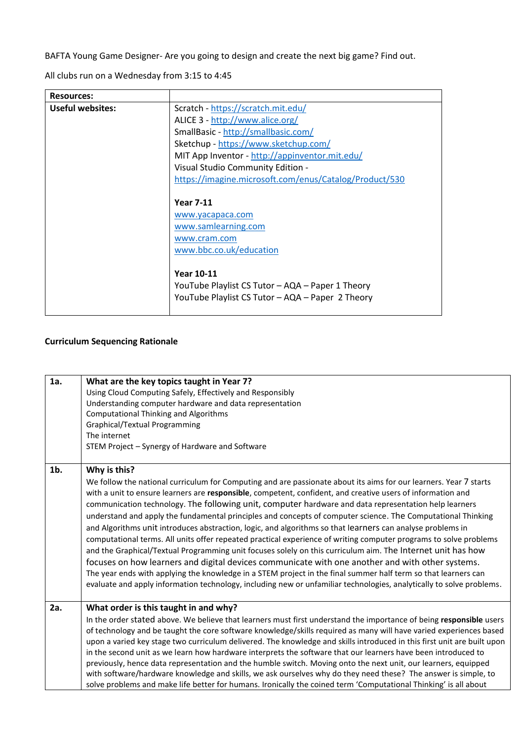BAFTA Young Game Designer- Are you going to design and create the next big game? Find out.

All clubs run on a Wednesday from 3:15 to 4:45

| <b>Resources:</b>       |                                                        |
|-------------------------|--------------------------------------------------------|
| <b>Useful websites:</b> | Scratch - https://scratch.mit.edu/                     |
|                         | ALICE 3 - http://www.alice.org/                        |
|                         | SmallBasic - http://smallbasic.com/                    |
|                         | Sketchup - https://www.sketchup.com/                   |
|                         | MIT App Inventor - http://appinventor.mit.edu/         |
|                         | Visual Studio Community Edition -                      |
|                         | https://imagine.microsoft.com/enus/Catalog/Product/530 |
|                         |                                                        |
|                         | <b>Year 7-11</b>                                       |
|                         | www.yacapaca.com                                       |
|                         | www.samlearning.com                                    |
|                         | www.cram.com                                           |
|                         | www.bbc.co.uk/education                                |
|                         |                                                        |
|                         | <b>Year 10-11</b>                                      |
|                         | YouTube Playlist CS Tutor - AQA - Paper 1 Theory       |
|                         | YouTube Playlist CS Tutor - AQA - Paper 2 Theory       |
|                         |                                                        |

## **Curriculum Sequencing Rationale**

| 1a.    | What are the key topics taught in Year 7?<br>Using Cloud Computing Safely, Effectively and Responsibly<br>Understanding computer hardware and data representation<br><b>Computational Thinking and Algorithms</b><br>Graphical/Textual Programming<br>The internet<br>STEM Project - Synergy of Hardware and Software                                                                                                                                                                                                                                                                                                                                                                                                                                                                                                                                                                                                                                                                                                                                                                                                                                                     |
|--------|---------------------------------------------------------------------------------------------------------------------------------------------------------------------------------------------------------------------------------------------------------------------------------------------------------------------------------------------------------------------------------------------------------------------------------------------------------------------------------------------------------------------------------------------------------------------------------------------------------------------------------------------------------------------------------------------------------------------------------------------------------------------------------------------------------------------------------------------------------------------------------------------------------------------------------------------------------------------------------------------------------------------------------------------------------------------------------------------------------------------------------------------------------------------------|
| $1b$ . | Why is this?<br>We follow the national curriculum for Computing and are passionate about its aims for our learners. Year 7 starts<br>with a unit to ensure learners are responsible, competent, confident, and creative users of information and<br>communication technology. The following unit, computer hardware and data representation help learners<br>understand and apply the fundamental principles and concepts of computer science. The Computational Thinking<br>and Algorithms unit introduces abstraction, logic, and algorithms so that learners can analyse problems in<br>computational terms. All units offer repeated practical experience of writing computer programs to solve problems<br>and the Graphical/Textual Programming unit focuses solely on this curriculum aim. The Internet unit has how<br>focuses on how learners and digital devices communicate with one another and with other systems.<br>The year ends with applying the knowledge in a STEM project in the final summer half term so that learners can<br>evaluate and apply information technology, including new or unfamiliar technologies, analytically to solve problems. |
| 2a.    | What order is this taught in and why?<br>In the order stated above. We believe that learners must first understand the importance of being responsible users<br>of technology and be taught the core software knowledge/skills required as many will have varied experiences based<br>upon a varied key stage two curriculum delivered. The knowledge and skills introduced in this first unit are built upon<br>in the second unit as we learn how hardware interprets the software that our learners have been introduced to<br>previously, hence data representation and the humble switch. Moving onto the next unit, our learners, equipped<br>with software/hardware knowledge and skills, we ask ourselves why do they need these? The answer is simple, to<br>solve problems and make life better for humans. Ironically the coined term 'Computational Thinking' is all about                                                                                                                                                                                                                                                                                    |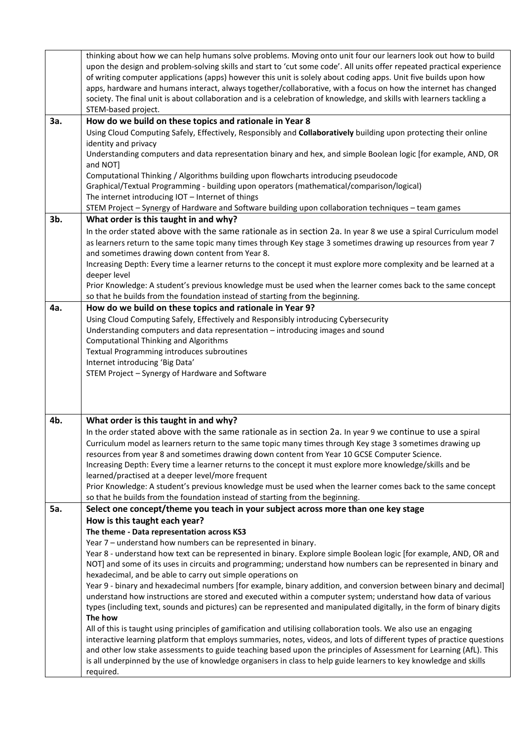|     | thinking about how we can help humans solve problems. Moving onto unit four our learners look out how to build<br>upon the design and problem-solving skills and start to 'cut some code'. All units offer repeated practical experience<br>of writing computer applications (apps) however this unit is solely about coding apps. Unit five builds upon how<br>apps, hardware and humans interact, always together/collaborative, with a focus on how the internet has changed<br>society. The final unit is about collaboration and is a celebration of knowledge, and skills with learners tackling a<br>STEM-based project. |
|-----|---------------------------------------------------------------------------------------------------------------------------------------------------------------------------------------------------------------------------------------------------------------------------------------------------------------------------------------------------------------------------------------------------------------------------------------------------------------------------------------------------------------------------------------------------------------------------------------------------------------------------------|
| 3a. | How do we build on these topics and rationale in Year 8                                                                                                                                                                                                                                                                                                                                                                                                                                                                                                                                                                         |
|     | Using Cloud Computing Safely, Effectively, Responsibly and Collaboratively building upon protecting their online                                                                                                                                                                                                                                                                                                                                                                                                                                                                                                                |
|     | identity and privacy                                                                                                                                                                                                                                                                                                                                                                                                                                                                                                                                                                                                            |
|     | Understanding computers and data representation binary and hex, and simple Boolean logic [for example, AND, OR                                                                                                                                                                                                                                                                                                                                                                                                                                                                                                                  |
|     | and NOT]                                                                                                                                                                                                                                                                                                                                                                                                                                                                                                                                                                                                                        |
|     | Computational Thinking / Algorithms building upon flowcharts introducing pseudocode                                                                                                                                                                                                                                                                                                                                                                                                                                                                                                                                             |
|     | Graphical/Textual Programming - building upon operators (mathematical/comparison/logical)                                                                                                                                                                                                                                                                                                                                                                                                                                                                                                                                       |
|     | The internet introducing IOT - Internet of things                                                                                                                                                                                                                                                                                                                                                                                                                                                                                                                                                                               |
|     | STEM Project - Synergy of Hardware and Software building upon collaboration techniques - team games                                                                                                                                                                                                                                                                                                                                                                                                                                                                                                                             |
| 3b. | What order is this taught in and why?                                                                                                                                                                                                                                                                                                                                                                                                                                                                                                                                                                                           |
|     | In the order stated above with the same rationale as in section 2a. In year 8 we use a spiral Curriculum model                                                                                                                                                                                                                                                                                                                                                                                                                                                                                                                  |
|     | as learners return to the same topic many times through Key stage 3 sometimes drawing up resources from year 7                                                                                                                                                                                                                                                                                                                                                                                                                                                                                                                  |
|     | and sometimes drawing down content from Year 8.                                                                                                                                                                                                                                                                                                                                                                                                                                                                                                                                                                                 |
|     | Increasing Depth: Every time a learner returns to the concept it must explore more complexity and be learned at a                                                                                                                                                                                                                                                                                                                                                                                                                                                                                                               |
|     | deeper level                                                                                                                                                                                                                                                                                                                                                                                                                                                                                                                                                                                                                    |
|     | Prior Knowledge: A student's previous knowledge must be used when the learner comes back to the same concept                                                                                                                                                                                                                                                                                                                                                                                                                                                                                                                    |
|     | so that he builds from the foundation instead of starting from the beginning.                                                                                                                                                                                                                                                                                                                                                                                                                                                                                                                                                   |
| 4a. | How do we build on these topics and rationale in Year 9?                                                                                                                                                                                                                                                                                                                                                                                                                                                                                                                                                                        |
|     | Using Cloud Computing Safely, Effectively and Responsibly introducing Cybersecurity                                                                                                                                                                                                                                                                                                                                                                                                                                                                                                                                             |
|     | Understanding computers and data representation - introducing images and sound                                                                                                                                                                                                                                                                                                                                                                                                                                                                                                                                                  |
|     | <b>Computational Thinking and Algorithms</b>                                                                                                                                                                                                                                                                                                                                                                                                                                                                                                                                                                                    |
|     | Textual Programming introduces subroutines                                                                                                                                                                                                                                                                                                                                                                                                                                                                                                                                                                                      |
|     | Internet introducing 'Big Data'                                                                                                                                                                                                                                                                                                                                                                                                                                                                                                                                                                                                 |
|     | STEM Project - Synergy of Hardware and Software                                                                                                                                                                                                                                                                                                                                                                                                                                                                                                                                                                                 |
|     |                                                                                                                                                                                                                                                                                                                                                                                                                                                                                                                                                                                                                                 |
|     |                                                                                                                                                                                                                                                                                                                                                                                                                                                                                                                                                                                                                                 |
| 4b. | What order is this taught in and why?                                                                                                                                                                                                                                                                                                                                                                                                                                                                                                                                                                                           |
|     | In the order stated above with the same rationale as in section 2a. In year 9 we continue to use a spiral                                                                                                                                                                                                                                                                                                                                                                                                                                                                                                                       |
|     | Curriculum model as learners return to the same topic many times through Key stage 3 sometimes drawing up                                                                                                                                                                                                                                                                                                                                                                                                                                                                                                                       |
|     | resources from year 8 and sometimes drawing down content from Year 10 GCSE Computer Science.                                                                                                                                                                                                                                                                                                                                                                                                                                                                                                                                    |
|     | Increasing Depth: Every time a learner returns to the concept it must explore more knowledge/skills and be                                                                                                                                                                                                                                                                                                                                                                                                                                                                                                                      |
|     | learned/practised at a deeper level/more frequent                                                                                                                                                                                                                                                                                                                                                                                                                                                                                                                                                                               |
|     | Prior Knowledge: A student's previous knowledge must be used when the learner comes back to the same concept                                                                                                                                                                                                                                                                                                                                                                                                                                                                                                                    |
|     | so that he builds from the foundation instead of starting from the beginning.                                                                                                                                                                                                                                                                                                                                                                                                                                                                                                                                                   |
| 5a. | Select one concept/theme you teach in your subject across more than one key stage                                                                                                                                                                                                                                                                                                                                                                                                                                                                                                                                               |
|     | How is this taught each year?                                                                                                                                                                                                                                                                                                                                                                                                                                                                                                                                                                                                   |
|     | The theme - Data representation across KS3                                                                                                                                                                                                                                                                                                                                                                                                                                                                                                                                                                                      |
|     | Year 7 - understand how numbers can be represented in binary.                                                                                                                                                                                                                                                                                                                                                                                                                                                                                                                                                                   |
|     | Year 8 - understand how text can be represented in binary. Explore simple Boolean logic [for example, AND, OR and                                                                                                                                                                                                                                                                                                                                                                                                                                                                                                               |
|     | NOT] and some of its uses in circuits and programming; understand how numbers can be represented in binary and                                                                                                                                                                                                                                                                                                                                                                                                                                                                                                                  |
|     | hexadecimal, and be able to carry out simple operations on                                                                                                                                                                                                                                                                                                                                                                                                                                                                                                                                                                      |
|     | Year 9 - binary and hexadecimal numbers [for example, binary addition, and conversion between binary and decimal]                                                                                                                                                                                                                                                                                                                                                                                                                                                                                                               |
|     | understand how instructions are stored and executed within a computer system; understand how data of various                                                                                                                                                                                                                                                                                                                                                                                                                                                                                                                    |
|     | types (including text, sounds and pictures) can be represented and manipulated digitally, in the form of binary digits                                                                                                                                                                                                                                                                                                                                                                                                                                                                                                          |
|     | The how                                                                                                                                                                                                                                                                                                                                                                                                                                                                                                                                                                                                                         |
|     | All of this is taught using principles of gamification and utilising collaboration tools. We also use an engaging                                                                                                                                                                                                                                                                                                                                                                                                                                                                                                               |
|     | interactive learning platform that employs summaries, notes, videos, and lots of different types of practice questions                                                                                                                                                                                                                                                                                                                                                                                                                                                                                                          |
|     | and other low stake assessments to guide teaching based upon the principles of Assessment for Learning (AfL). This                                                                                                                                                                                                                                                                                                                                                                                                                                                                                                              |
|     | is all underpinned by the use of knowledge organisers in class to help guide learners to key knowledge and skills<br>required.                                                                                                                                                                                                                                                                                                                                                                                                                                                                                                  |